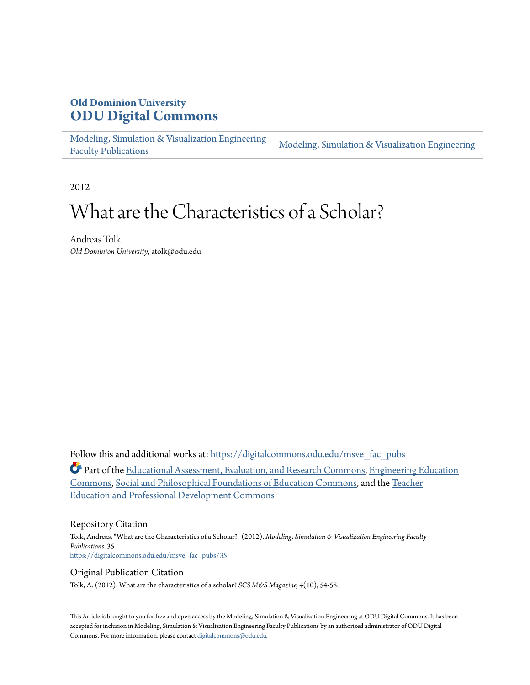# **Old Dominion University [ODU Digital Commons](https://digitalcommons.odu.edu?utm_source=digitalcommons.odu.edu%2Fmsve_fac_pubs%2F35&utm_medium=PDF&utm_campaign=PDFCoverPages)**

[Modeling, Simulation & Visualization Engineering](https://digitalcommons.odu.edu/msve_fac_pubs?utm_source=digitalcommons.odu.edu%2Fmsve_fac_pubs%2F35&utm_medium=PDF&utm_campaign=PDFCoverPages) [Faculty Publications](https://digitalcommons.odu.edu/msve_fac_pubs?utm_source=digitalcommons.odu.edu%2Fmsve_fac_pubs%2F35&utm_medium=PDF&utm_campaign=PDFCoverPages)

[Modeling, Simulation & Visualization Engineering](https://digitalcommons.odu.edu/msve?utm_source=digitalcommons.odu.edu%2Fmsve_fac_pubs%2F35&utm_medium=PDF&utm_campaign=PDFCoverPages)

2012

# What are the Characteristics of a Scholar?

Andreas Tolk *Old Dominion University*, atolk@odu.edu

Follow this and additional works at: [https://digitalcommons.odu.edu/msve\\_fac\\_pubs](https://digitalcommons.odu.edu/msve_fac_pubs?utm_source=digitalcommons.odu.edu%2Fmsve_fac_pubs%2F35&utm_medium=PDF&utm_campaign=PDFCoverPages)

Part of the [Educational Assessment, Evaluation, and Research Commons,](http://network.bepress.com/hgg/discipline/796?utm_source=digitalcommons.odu.edu%2Fmsve_fac_pubs%2F35&utm_medium=PDF&utm_campaign=PDFCoverPages) [Engineering Education](http://network.bepress.com/hgg/discipline/1191?utm_source=digitalcommons.odu.edu%2Fmsve_fac_pubs%2F35&utm_medium=PDF&utm_campaign=PDFCoverPages) [Commons,](http://network.bepress.com/hgg/discipline/1191?utm_source=digitalcommons.odu.edu%2Fmsve_fac_pubs%2F35&utm_medium=PDF&utm_campaign=PDFCoverPages) [Social and Philosophical Foundations of Education Commons](http://network.bepress.com/hgg/discipline/799?utm_source=digitalcommons.odu.edu%2Fmsve_fac_pubs%2F35&utm_medium=PDF&utm_campaign=PDFCoverPages), and the [Teacher](http://network.bepress.com/hgg/discipline/803?utm_source=digitalcommons.odu.edu%2Fmsve_fac_pubs%2F35&utm_medium=PDF&utm_campaign=PDFCoverPages) [Education and Professional Development Commons](http://network.bepress.com/hgg/discipline/803?utm_source=digitalcommons.odu.edu%2Fmsve_fac_pubs%2F35&utm_medium=PDF&utm_campaign=PDFCoverPages)

#### Repository Citation

Tolk, Andreas, "What are the Characteristics of a Scholar?" (2012). *Modeling, Simulation & Visualization Engineering Faculty Publications*. 35. [https://digitalcommons.odu.edu/msve\\_fac\\_pubs/35](https://digitalcommons.odu.edu/msve_fac_pubs/35?utm_source=digitalcommons.odu.edu%2Fmsve_fac_pubs%2F35&utm_medium=PDF&utm_campaign=PDFCoverPages)

#### Original Publication Citation

Tolk, A. (2012). What are the characteristics of a scholar? *SCS M&S Magazine, 4*(10), 54-58.

This Article is brought to you for free and open access by the Modeling, Simulation & Visualization Engineering at ODU Digital Commons. It has been accepted for inclusion in Modeling, Simulation & Visualization Engineering Faculty Publications by an authorized administrator of ODU Digital Commons. For more information, please contact [digitalcommons@odu.edu.](mailto:digitalcommons@odu.edu)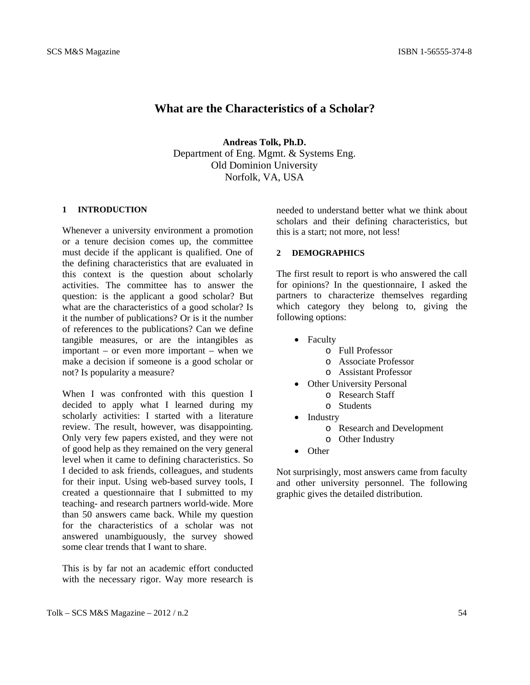# **What are the Characteristics of a Scholar?**

**Andreas Tolk, Ph.D.**  Department of Eng. Mgmt. & Systems Eng. Old Dominion University Norfolk, VA, USA

## **1 INTRODUCTION**

Whenever a university environment a promotion or a tenure decision comes up, the committee must decide if the applicant is qualified. One of the defining characteristics that are evaluated in this context is the question about scholarly activities. The committee has to answer the question: is the applicant a good scholar? But what are the characteristics of a good scholar? Is it the number of publications? Or is it the number of references to the publications? Can we define tangible measures, or are the intangibles as important – or even more important – when we make a decision if someone is a good scholar or not? Is popularity a measure?

When I was confronted with this question I decided to apply what I learned during my scholarly activities: I started with a literature review. The result, however, was disappointing. Only very few papers existed, and they were not of good help as they remained on the very general level when it came to defining characteristics. So I decided to ask friends, colleagues, and students for their input. Using web-based survey tools, I created a questionnaire that I submitted to my teaching- and research partners world-wide. More than 50 answers came back. While my question for the characteristics of a scholar was not answered unambiguously, the survey showed some clear trends that I want to share.

This is by far not an academic effort conducted with the necessary rigor. Way more research is needed to understand better what we think about scholars and their defining characteristics, but this is a start; not more, not less!

# **2 DEMOGRAPHICS**

The first result to report is who answered the call for opinions? In the questionnaire, I asked the partners to characterize themselves regarding which category they belong to, giving the following options:

- Faculty
	- o Full Professor
	- o Associate Professor
	- o Assistant Professor
- Other University Personal o Research Staff
	- o Students
- Industry
	- o Research and Development
	- o Other Industry
- Other

Not surprisingly, most answers came from faculty and other university personnel. The following graphic gives the detailed distribution.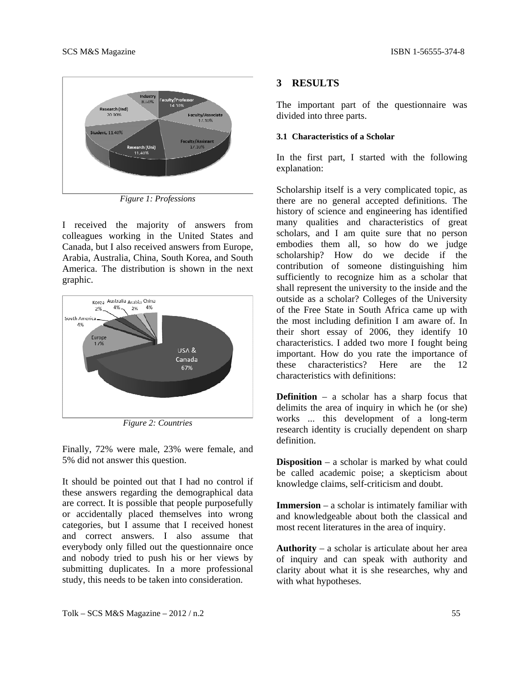

*Figure 1: Professions* 

I received the majority of answers from colleagues working in the United States and Canada, but I also received answers from Europe, Arabia, Australia, China, South Korea, and South America. The distribution is shown in the next graphic.



*Figure 2: Countries* 

Finally, 72% were male, 23% were female, and 5% did not answer this question.

It should be pointed out that I had no control if these answers regarding the demographical data are correct. It is possible that people purposefully or accidentally placed themselves into wrong categories, but I assume that I received honest and correct answers. I also assume that everybody only filled out the questionnaire once and nobody tried to push his or her views by submitting duplicates. In a more professional study, this needs to be taken into consideration.

### **3 RESULTS**

The important part of the questionnaire was divided into three parts.

#### **3.1 Characteristics of a Scholar**

In the first part, I started with the following explanation:

Scholarship itself is a very complicated topic, as there are no general accepted definitions. The history of science and engineering has identified many qualities and characteristics of great scholars, and I am quite sure that no person embodies them all, so how do we judge scholarship? How do we decide if the contribution of someone distinguishing him sufficiently to recognize him as a scholar that shall represent the university to the inside and the outside as a scholar? Colleges of the University of the Free State in South Africa came up with the most including definition I am aware of. In their short essay of 2006, they identify 10 characteristics. I added two more I fought being important. How do you rate the importance of these characteristics? Here are the 12 characteristics with definitions:

**Definition** – a scholar has a sharp focus that delimits the area of inquiry in which he (or she) works ... this development of a long-term research identity is crucially dependent on sharp definition.

**Disposition** – a scholar is marked by what could be called academic poise; a skepticism about knowledge claims, self-criticism and doubt.

**Immersion** – a scholar is intimately familiar with and knowledgeable about both the classical and most recent literatures in the area of inquiry.

**Authority** – a scholar is articulate about her area of inquiry and can speak with authority and clarity about what it is she researches, why and with what hypotheses.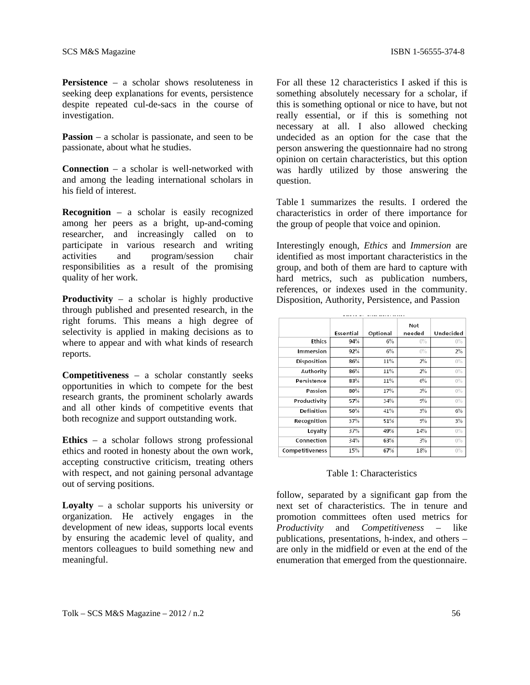**Persistence** – a scholar shows resoluteness in seeking deep explanations for events, persistence despite repeated cul-de-sacs in the course of investigation.

**Passion** – a scholar is passionate, and seen to be passionate, about what he studies.

**Connection** – a scholar is well-networked with and among the leading international scholars in his field of interest.

**Recognition** – a scholar is easily recognized among her peers as a bright, up-and-coming researcher, and increasingly called on to participate in various research and writing activities and program/session chair responsibilities as a result of the promising quality of her work.

**Productivity** – a scholar is highly productive through published and presented research, in the right forums. This means a high degree of selectivity is applied in making decisions as to where to appear and with what kinds of research reports.

**Competitiveness** – a scholar constantly seeks opportunities in which to compete for the best research grants, the prominent scholarly awards and all other kinds of competitive events that both recognize and support outstanding work.

**Ethics** – a scholar follows strong professional ethics and rooted in honesty about the own work, accepting constructive criticism, treating others with respect, and not gaining personal advantage out of serving positions.

**Loyalty** – a scholar supports his university or organization. He actively engages in the development of new ideas, supports local events by ensuring the academic level of quality, and mentors colleagues to build something new and meaningful.

For all these 12 characteristics I asked if this is something absolutely necessary for a scholar, if this is something optional or nice to have, but not really essential, or if this is something not necessary at all. I also allowed checking undecided as an option for the case that the person answering the questionnaire had no strong opinion on certain characteristics, but this option was hardly utilized by those answering the question.

Table 1 summarizes the results. I ordered the characteristics in order of there importance for the group of people that voice and opinion.

Interestingly enough, *Ethics* and *Immersion* are identified as most important characteristics in the group, and both of them are hard to capture with hard metrics, such as publication numbers, references, or indexes used in the community. Disposition, Authority, Persistence, and Passion

|                 | Essential | Optional | Not<br>needed | Undecided |
|-----------------|-----------|----------|---------------|-----------|
| <b>Ethics</b>   | 94%       | 6%       | $0\%$         | $0\%$     |
| Immersion       | 92%       | 6%       | $0\%$         | 2%        |
| Disposition     | 86%       | 11%      | 2%            | $0\%$     |
| Authority       | 86%       | 11%      | 2%            | $0\%$     |
| Persistence     | 83%       | 11%      | 6%            | $0\%$     |
| Passion         | 80%       | 17%      | 3%            | $0\%$     |
| Productivity    | 57%       | 34%      | 9%            | $0\%$     |
| Definition      | 50%       | 41%      | 3%            | 6%        |
| Recognition     | 37%       | 51%      | 9%            | 3%        |
| Loyalty         | 37%       | 49%      | 14%           | $0\%$     |
| Connection      | 34%       | 63%      | 3%            | $0\%$     |
| Competitiveness | 15%       | 67%      | 18%           | $0\%$     |

#### Table 1: Characteristics

follow, separated by a significant gap from the next set of characteristics. The in tenure and promotion committees often used metrics for *Productivity* and *Competitiveness* – like publications, presentations, h-index, and others – are only in the midfield or even at the end of the enumeration that emerged from the questionnaire.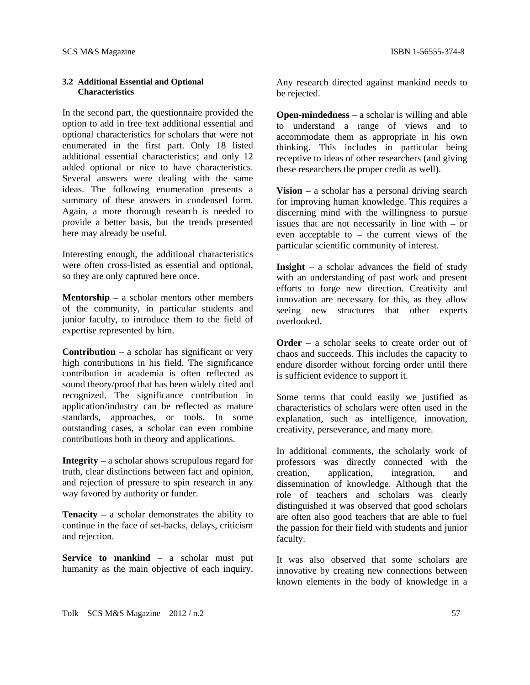## **3.2 Additional Essential and Optional Characteristics**

In the second part, the questionnaire provided the option to add in free text additional essential and optional characteristics for scholars that were not enumerated in the first part. Only 18 listed additional essential characteristics; and only 12 added optional or nice to have characteristics. Several answers were dealing with the same ideas. The following enumeration presents a summary of these answers in condensed form. Again, a more thorough research is needed to provide a better basis, but the trends presented here may already be useful.

Interesting enough, the additional characteristics were often cross-listed as essential and optional, so they are only captured here once.

**Mentorship** – a scholar mentors other members of the community, in particular students and junior faculty, to introduce them to the field of expertise represented by him.

**Contribution** – a scholar has significant or very high contributions in his field. The significance contribution in academia is often reflected as sound theory/proof that has been widely cited and recognized. The significance contribution in application/industry can be reflected as mature standards, approaches, or tools. In some outstanding cases, a scholar can even combine contributions both in theory and applications.

**Integrity** – a scholar shows scrupulous regard for truth, clear distinctions between fact and opinion, and rejection of pressure to spin research in any way favored by authority or funder.

**Tenacity** – a scholar demonstrates the ability to continue in the face of set-backs, delays, criticism and rejection.

**Service to mankind** – a scholar must put humanity as the main objective of each inquiry. Any research directed against mankind needs to be rejected.

**Open-mindedness** – a scholar is willing and able to understand a range of views and to accommodate them as appropriate in his own thinking. This includes in particular being receptive to ideas of other researchers (and giving these researchers the proper credit as well).

**Vision** – a scholar has a personal driving search for improving human knowledge. This requires a discerning mind with the willingness to pursue issues that are not necessarily in line with – or even acceptable to – the current views of the particular scientific community of interest.

**Insight** – a scholar advances the field of study with an understanding of past work and present efforts to forge new direction. Creativity and innovation are necessary for this, as they allow seeing new structures that other experts overlooked.

**Order** – a scholar seeks to create order out of chaos and succeeds. This includes the capacity to endure disorder without forcing order until there is sufficient evidence to support it.

Some terms that could easily we justified as characteristics of scholars were often used in the explanation, such as intelligence, innovation, creativity, perseverance, and many more.

In additional comments, the scholarly work of professors was directly connected with the creation, application, integration, and dissemination of knowledge. Although that the role of teachers and scholars was clearly distinguished it was observed that good scholars are often also good teachers that are able to fuel the passion for their field with students and junior faculty.

It was also observed that some scholars are innovative by creating new connections between known elements in the body of knowledge in a